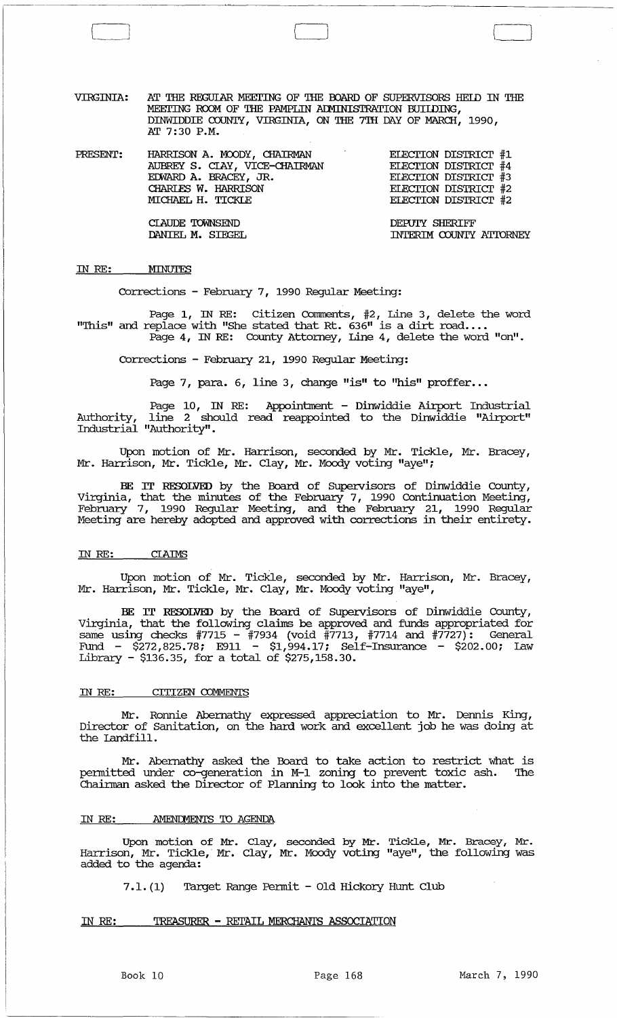VIRGINIA: AT THE REGUIAR MEEl'ING OF THE OOARD OF SUPERVISORS HEID IN THE MEETING ROOM OF THE PAMPLIN ADMINISTRATION BUILDING, DINWIDDIE COUNTY, VIRGINIA, ON THE 7TH DAY OF MARCH, 1990, AT 7:30 P.M.

PRESENT: HARRISON A. MOODY, CHAIRMAN AUBREY S. CIAY, VICE-CHAIRMAN EDWARD A. BRACEY, JR. EIECI'ION DISTRIcr #1 EIECI'ION DISTRIcr #4 ELECTION DISTRICT #3 ELECTION DISTRICT #2 EIECTION DISTRICT #2 CHARIFS W. HARRISON MICHAEL H. TICKLE

DEPUIY SHERIFF INTERIM COUNTY ATTORNEY

#### IN RE: MINUTES

CIAUDE 'IOWNSEND DANIEL M. SIEGEL

[

Corrections - February 7, 1990 Regular Meeting:

Page 1, IN RE: Citizen Comnents, #2, Line 3, delete the word "This" and replace with "She stated that Rt.  $636$ " is a dirt road.... Page 4, IN RE: County Attorney, Line 4, delete the word "on".

Corrections - February 21, 1990 Regular Meeting:

Page 7, para. 6, line 3, change "is" to "his" proffer...

Page 10, IN RE: Appointment - Dinwiddie Airport Industrial Authority, line 2 should read reappointed to the Dinwiddie "Airport" Industrial "Authority".

Upon motion of Mr. Harrison, seconded by Mr. Tickle, Mr. Bracey, Mr. Harrison, Mr. Tickle, Mr. Clay, Mr. Moody voting "aye";

BE IT RESOLVED by the Board of supervisors of Dinwiddie County, Virginia, that the minutes of the February 7, 1990 Continuation Meeting, February 7, 1990 Regular Meeting, and the February 21, 1990 Regular Meeting are hereby adopted and approved with corrections in their entirety.

#### IN RE:

Upon motion of Mr. Tickle, seconded by Mr. Harrison, Mr. Bracey, Mr. Harrison, Mr. Tickle, Mr. Clay, Mr. Moody voting "aye",

BE IT RESOLVED by the Board of SUpervisors of Dinwiddie County, Virginia, that the following claims be approved and funds appropriated for same using checks #7715 - #7934 (void #7713, #7714 and #7727): General Fund - \$272,825.78; E911 - \$1,994.17; Self-Insurance - \$202.00; law Library - \$136.35, for a total of \$275,158.30.

#### IN RE: CITIZEN COMMENTS

Mr. Ronnie Abernathy expressed appreciation to Mr. Dennis King, Director of Sanitation, on the hard work and excellent job he was doing at the landfill.

Mr. Abernathy asked the Board to take action to restrict what is permitted under co-generation in M-l zoning to prevent toxic ash. The Chainnan asked the Director of Planning to look into the matter.

#### IN RE: AMENDMENTS TO AGENDA

Upon motion of Mr. Clay, seconded by Mr. Tickle, Mr. Bracey, Mr. Harrison, Mr. Tickle,· Mr. Clay, Mr. Moody voting "aye", the following was added to the agenda:

7.1.(1) Target Range Permit - Old Hickory Hunt Club

IN RE: TREASURER - RETAIL MERCHANTS ASSOCIATION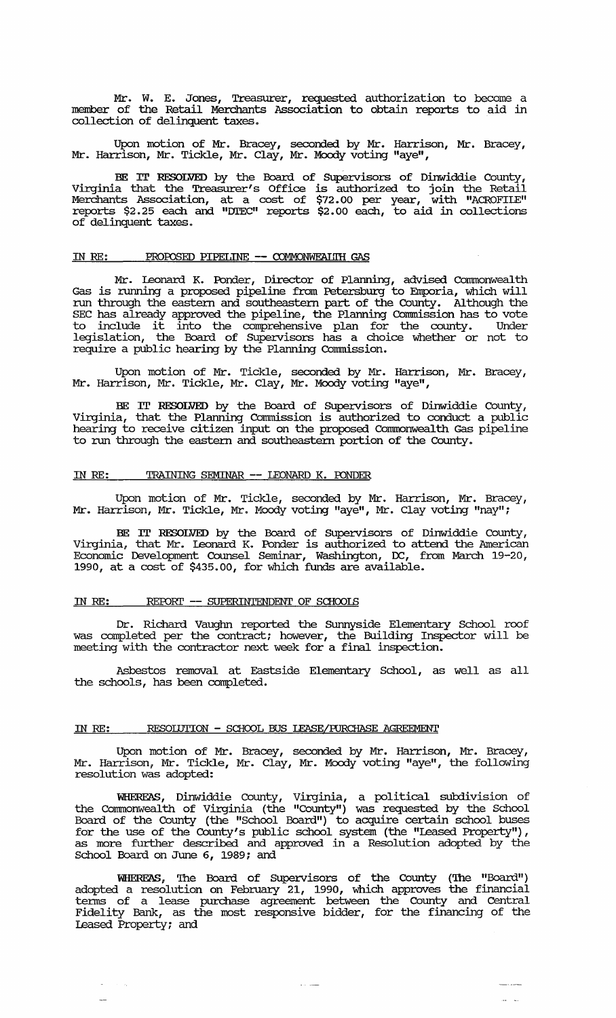Mr. W. E. Jones, Treasurer, requested authorization to become a member of the Retail Merchants Association to obtain reports to aid in collection of delinquent taxes.

Upon motion of Mr. Bracey, seconded by Mr. Harrison, Mr. Bracey, Mr. Harrison, Mr. Tickle, Mr. Clay, Mr. Moody voting "aye",

BE IT RESOLVED by the Board of SUpervisors of Dinwiddie County, Virginia that the Treasurer's Office is authorized to join the Retail Merchants Association, at a cost of \$72.00 per year, with "ACROFILE" reports \$2.25 each and "DIEC" reports \$2.00 each, to aid in collections of delinquent taxes.

#### IN RE: PROPOSED PIPELINE -- COMMONWEALIH GAS

Mr. Leonard K. Ponder, Director of Planning, advised Commonwealth Gas is running a proposed pipeline from Petersburg to Emporia, which will run through the eastern and southeastern part of the County. Although the SEC has already approved the pipeline, the Planning Commission has to vote to include it into the comprehensive plan for the county. Under legislation, the Board of Supervisors has a choice whether or not to require a public hearing by the Planning Commission.

Upon motion of Mr. Tickle, seconded by Mr. Harrison, Mr. Bracey, Mr. Harrison, Mr. Tickle, Mr. Clay, Mr. Moody voting "aye",

BE IT RESOLVED by the Board of SUpervisors of Dinwiddie county, Virginia, that the Planning Commission is authorized to conduct a public hearing to receive citizen input on the proposed Conunonwealth Gas pipeline to run through the eastern and southeastern portion of the County.

## IN RE: TRAINING SEMINAR **--** IEONARD K. roNDER

Upon motion of Mr. Tickle, seconded by Mr. Harrison, Mr. Bracey, Mr. Harrison, Mr. Tickle, Mr. Moody voting "aye", Mr. Clay voting "nay";

BE IT RESOLVED by the Board of Supervisors of Dinwiddie County, Virginia, that Mr. Leonard K. Ponder is authorized to attend the American Economic Development Counsel Seminar, Washington, DC, from March 19-20, 1990, at a cost of \$435.00, for which funds are available.

# IN RE: REPORT -- SUPERINTENDENT OF SCHOOLS

 $\sim$   $\sim$ 

Dr. Richard Vauglm reported the SUnnyside Elementary School roof was completed per the contract; however, the Building Inspector will be meeting with the contractor next week for a final inspection.

Asbestos removal at Eastside Elementary School, as well as all the schools, has been completed.

#### IN RE: RESOIUTION - SCHOOL BUS LEASE/PURCHASE AGREEMENT

Upon motion of Mr. Bracey, seconded by Mr. Harrison, Mr. Bracey, Mr. Harrison, Mr. Tickle, Mr. Clay, Mr. Moody voting "aye", the following resolution was adopted:

WHEREAS, Dinwiddie county, Virginia, a political subdivision of the Commonwealth of Virginia (the "County") was requested by the School Board of the County (the IISchool Board") to acquire certain school buses for the use of the County's public school system (the "Ieased Property") , as more further described and approved in a Resolution adopted by the as more further described and approved in a Resolution adopted by the School Board on June 6, 1989; and

WlIERFAS, The Board of SUpervisors of the County (The "Board") adopted a resolution on February 21, 1990, which approves the financial terms of a lease purchase agreement between the County and Central Fidelity Bank, as the most responsive bidder, for the financing of the leased Property; and

ستنادد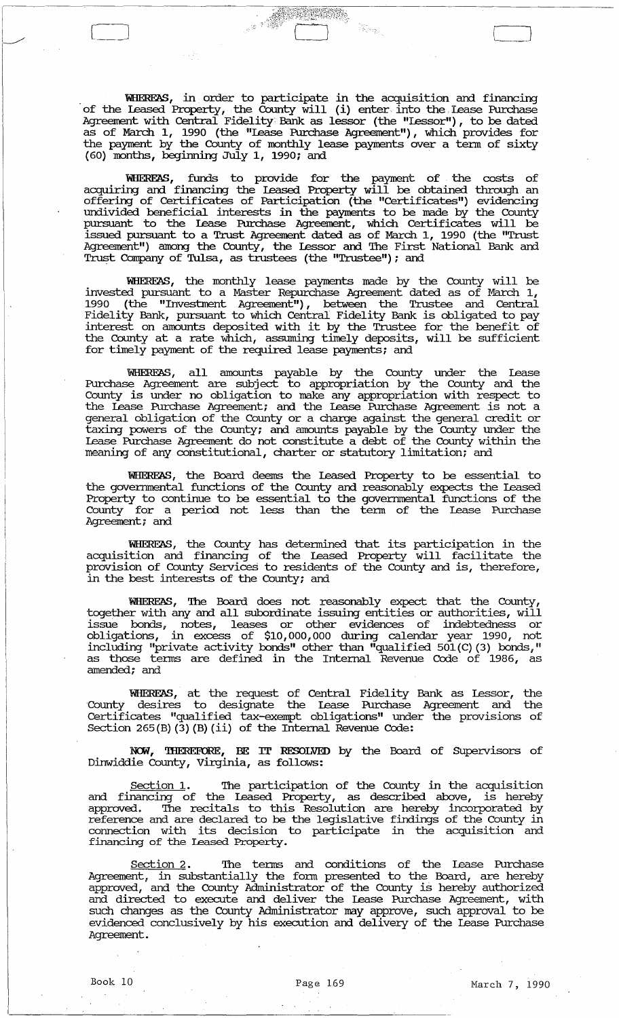WIIEREAS, in order to participate in the acquisition and financing of the leased Property, the County will (i) enter into the, lease Purchase Agreement with Central Fidelity Bank as lessor (the "lessor"), to be dated as of March 1, 1990 (the "lease Purchase Agreement"), which provides for the payment by the County of monthly lease payments over a term of sixty (60) months, beginning July 1, 1990; and

Ka<sub>m</sub>

WIIEREAS, funds to provide for the payment of the costs of acquiring and financing the leased Property will be obtained through an offering of Certificates of Participation (the "Certificates") evidencing undivided beneficial interests in the payments to be made by the County pursuant to the lease Purchase Agreement, which Certificates will be issued pursuant to a Trust Agreement dated as of March 1, 1990 (the "Trust Agreement") among the County, the Lessor and The First National Bank and Trust Company of Tulsa, as trustees (the "Trustee"); and

WEIERFAS, the monthly lease payments made by the County will be invested pursuant to a Master Repurchase Agreement dated as of March 1, 1990 (the "Investment Agreement"), between the Trustee and Central Fidelity Bank, pursuant to which Central Fidelity Bank is obligated to pay interity bank, pursuant to which central fidelity bank is obligated to pay the County at a rate which, assuming timely deposits, will be sufficient for timely payment of the required lease payments; and

'WHEREAS, all amounts payable by the County under the Lease Purchase Agreement are subject to appropriation by the County and the County is under no Obligation to make any appropriation with respect to the Lease Purchase Agreement; and the Lease Purchase Agreement is not a general obligation of the County or a charge against the general credit or taxing powers of the County; and amounts payable by the County under the Lease Purchase Agreement do not constitute a debt of the County within the meaning of any constitutional, charter or statutory limitation; and

'WHERE'AS, the Board deems the Leased Property to be essential to the governmental functions of the County and reasonably expects the Leased Property to continue to be essential to the governmental functions of the County for a period not less than the tenn of the Lease Purchase Agreement; and

WHEREAS, the County has detennined that its participation in the acquisition and financing of the Leased Property will facilitate the provision of County Services to residents of the County and is, therefore, in the best interests of the County; and

WHEREAS, The Board does not reasonably expect that the County, together with any and all subordinate issuing entities or authorities, will issue bonds, notes, leases or other evidences of indebtedness or Obligations, in excess of \$10,000,000 during calendar year 1990, not including "private activity bonds" other than "qualified 501(C) (3) bonds," as those terms are defined in the Internal Revenue Code of 1986, as amended; and

WHEREAS, at the request of Central Fidelity Bank as Lessor, the 'County desires to designate the Lease Purchase Agreement and the Certificates "qualified tax-exempt obligations" under the provisions of Section 265(B) (3) (B) (ii) of the Internal Revenue Code:

NCM, 'IHEREFORE, BE IT RESOLVED by the Board of SUpervisors of Dinwiddie County, Virginia, as follows:

Section 1. The participation of the County in the acquisition and financing of the Leased Property, as described above, is hereby and Immersing or the measurement of property, in distribution are the corporated by reference and are declared to be the legislative findings of the county in connection with its decision to participate in the acquisition and financing of the leased Property.

Section 2. The terms and conditions of the Lease Purchase Agreement, in substantially the form presented to the Board, are hereby approved, and the County Administrator of the County is hereby authorized and directed to execute and deliver the Lease Purchase Agreement, with such changes as the County Administrator may approve, such approval to be evidenced conclusively by his execution and delivery of the Lease Purchase Agreement.

L\_J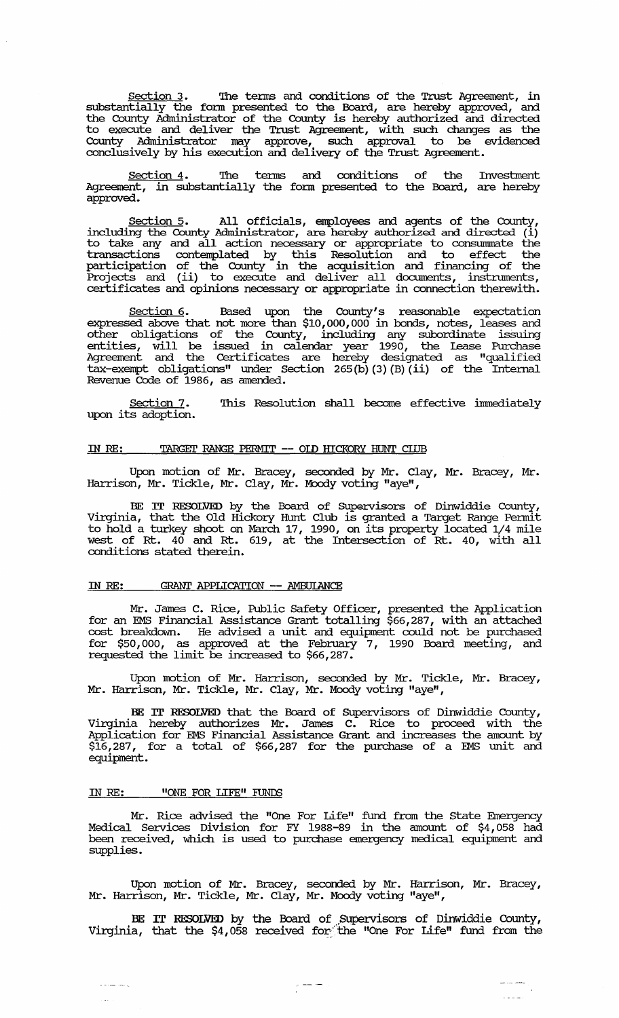Section 3. The terms and conditions of the Trust Agreement, in substantially the fonn presented to the Board, are hereby approved, and the County Administrator of the County is hereby authorized and directed to execute and deliver the Trust Agreement, with such changes as the County Administrator may approve, such approval to be evidenced conclusively by his execution and delivery of the Trust Agreement.

Section 4. The terms and conditions of the Investment Agreement, in substantially the form presented to the Board, are hereby approved.

Section 5. All officials, employees and agents of the County, including the County Administrator, are hereby authorized and directed (i) to take any and all action necessary or appropriate to consummate the transactions contemplated by this Resolution and to effect the participation of the County in the acquisition and financing of the Projects and (ii) to execute and deliver all documents, instnnnents, certificates and opinions necessary or appropriate in connection therewith.

Section 6. Based upon the County's reasonable expectation expressed above that not more than \$10,000,000 in bonds, notes, leases and other obligations of the County, including any subordinate issuing entities, will be issued in calendar year 1990, the Lease Purchase Agreement and the Certificates are hereby designated as "qualified tax-exempt obligations" under Section 265 (b) (3) (B) (ii) of the Internal Revenue Code of 1986, as amended.

Section 7. upon its adoption. This Resolution shall become effective immediately

#### IN RE: TARGET RANGE PERMIT -- OLD HICKORY HUNT CLUB

Upon motion of Mr. Bracey, seconded by Mr. Clay, Mr. Bracey, Mr. Harrison, Mr. Tickle, Mr. Clay, Mr. Moody voting "aye",

BE IT RESOLVED by the Board of supervisors of Dinwiddie County, Virginia, that the Old Hickory Hunt Club is granted a Target Range Pennit to hold a turkey shoot on March 17, 1990, on its property located 1/4 mile west of Rt. 40 and Rt. 619, at the Intersection of Rt. 40, with all conditions stated therein.

#### IN RE: GRANT APPLICATION -- AMBUIANCE

Mr. James C. Rice, Public Safety Officer, presented the Application for an EMS Financial Assistance Grant totalling \$66,287, with an attached cost breakdown. He advised a unit and equipment could not be purchased for \$50,000, as approved at the February 7, 1990 Board meeting, and requested the limit be increased to \$66,287.

Upon motion of Mr. Harrison, seconded by Mr. Tickle, Mr. Bracey, Mr. Harrison, Mr. Tickle, Mr. Clay, Mr. Moody voting "aye",

BE IT RESOLVED that the Board of SUpervisors of Dinwiddie County, Virginia hereby authorizes Mr. James C. Rice to proceed with the Application for EMS Financial Assistance Grant and increases the amount by \$16,287, for a total of \$66,287 for the purchase of a EMS unit and equipment.

## IN RE: "ONE FOR LIFE" FUNDS

ن المستخدم

Mr. Rice advised the "One For Life" fund from the State Emergency Medical Services Division for FY 1988-89 in the amount of \$4,058 had been received, which is used to purchase emergency medical equipment and supplies.

Upon motion of Mr. Bracey, seconded by Mr. Harrison, Mr. Bracey, Mr. Harrison, Mr. Tickle, Mr. Clay, Mr. Moody voting "aye",

BE IT RESOLVED by the Board of Supervisors of Dinwiddie County, Virginia, that the \$4,058 received for~'the "One For Life" fund from the

 $\frac{1}{\sqrt{1-\frac{1}{2}}}\frac{1}{\sqrt{1-\frac{1}{2}}}\frac{1}{\sqrt{1-\frac{1}{2}}}\frac{1}{\sqrt{1-\frac{1}{2}}}\frac{1}{\sqrt{1-\frac{1}{2}}}\frac{1}{\sqrt{1-\frac{1}{2}}}\frac{1}{\sqrt{1-\frac{1}{2}}}\frac{1}{\sqrt{1-\frac{1}{2}}}\frac{1}{\sqrt{1-\frac{1}{2}}}\frac{1}{\sqrt{1-\frac{1}{2}}}\frac{1}{\sqrt{1-\frac{1}{2}}}\frac{1}{\sqrt{1-\frac{1}{2}}}\frac{1}{\sqrt{1-\frac{1}{2}}}\frac{1}{\sqrt{1-\frac{$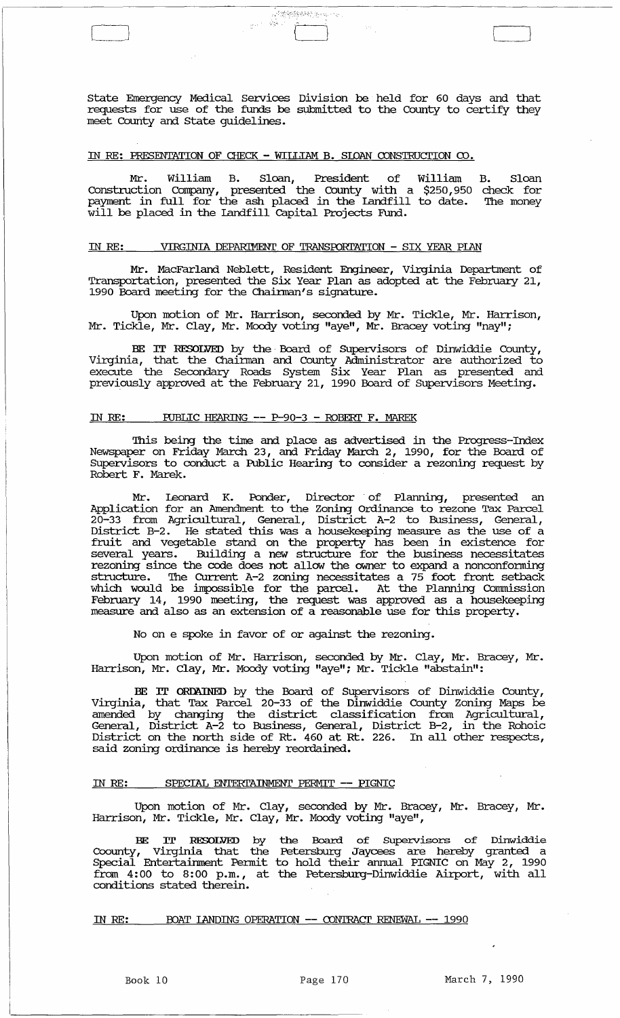state Emergency Medical services Division be held for 60 days and that requests for use of the funds be submitted to the County to certify they meet County and state guidelines.

[=:=J .:-. {I [\_J

## IN RE: PRESENTATION OF CHECK - WILLIAM B. SLOAN CONSTRUCTION  $\infty$ .

Mr. William B. Sloan, President of William construction Company, presented the County with a \$250,950 payment in full for the ash placed in the Landfill to date. will be placed in the landfill capital Projects Fund. B. Sloan check for The money

# IN RE: VIRGINIA DEPARIMENT OF TRANSPORTATION - SIX YEAR PIAN

Mr. MacFarland Neblett, Resident Engineer, Virginia Deparbnent of Transportation, presented the six Year Plan as adopted at the Februmy 21, 1990 Board meeting for the Chainnan's signature.

Upon motion of Mr. Harrison, seconded by Mr. Tickle, Mr. Harrison, Mr. Tickle, Mr. Clay, Mr. Moody voting "aye", Mr. Bracey voting "nay";

BE IT RESOLVED by the· Board of Supervisors of Dinwiddie County, Virginia, that the Chainnan and county Administrator are authorized to execute the Secondary Roads System six Year Plan as presented and previously approved at the February 21, 1990 Board of supervisors Meeting.

#### IN RE: PUBLIC HEARING -- P-90-3 - ROBERT F. MAREK

This being the time and place as advertised in the Progress-Index Newspaper on Friday March 23, and Friday March 2, 1990, for the Board of SUpervisors to conduct a Public Hearing to consider a rezoning request by Robert F. Marek.

Mr. Leonard K. Ponder, Director of Planning, presented an Application for an Amendment to the Zoning ordinance to rezone Tax Parcel 20-33 from Agricultural, General, District A-2 to Business, General, District B-2. He stated this was a housekeeping measure as the use of a fruit and vegetable stand on the property has been in existence for several years. Building a new structure for the business necessitates rezoning since the code does not allow the owner to expand a nonconforming structure. The CUrrent A-2 zoning necessitates a 75 foot front setback which would be impossible for the parcel. At the Planning Commission Februmy 14, 1990 meeting, the request was approved as a housekeeping measure and also as an extension of a reasonable use for this property.

No on e spoke in favor of or against the rezoning.

Upon motion of Mr. Harrison, seconded by Mr. Clay, Mr. Bracey, Mr. Harrison, Mr. Clay, Mr. Moody voting "aye"; Mr. Tickle "abstain":

BE IT ORDAINED by the Board of Supervisors of Dinwiddie County, Virginia, that Tax Parcel 20-33 of the Dinwiddie County zoning Maps be amended by changing the district classification from Agricultural, General, District A-2 to Business, General, District B-2, in the Rohoic District on the north side of Rt. 460 at Rt. 226. In all other respects, said zoning ordinance is hereby reordained.

# IN RE: SPECIAL ENTERTAINMENT PERMIT -- PIGNIC

Upon motion of Mr. Clay, seconded by Mr. Bracey, Mr. Bracey, Mr. Harrison, Mr. Tickle, Mr. Clay, Mr. Moody voting "aye",

BE IT RESOLVED by the Board of supervisors of Dinwiddie Coounty, Virginia that the Petersburg Jaycees are hereby granted a Special Entertainment Pennit to hold their annual PIGNIC on May 2, 1990 from 4:00 to 8:00 p.m., at the Petersburg-Dinwiddie Airport, with all conditions stated therein.

IN RE: BOAT LANDING OPERATION -- CONTRACT RENEWAL -- 1990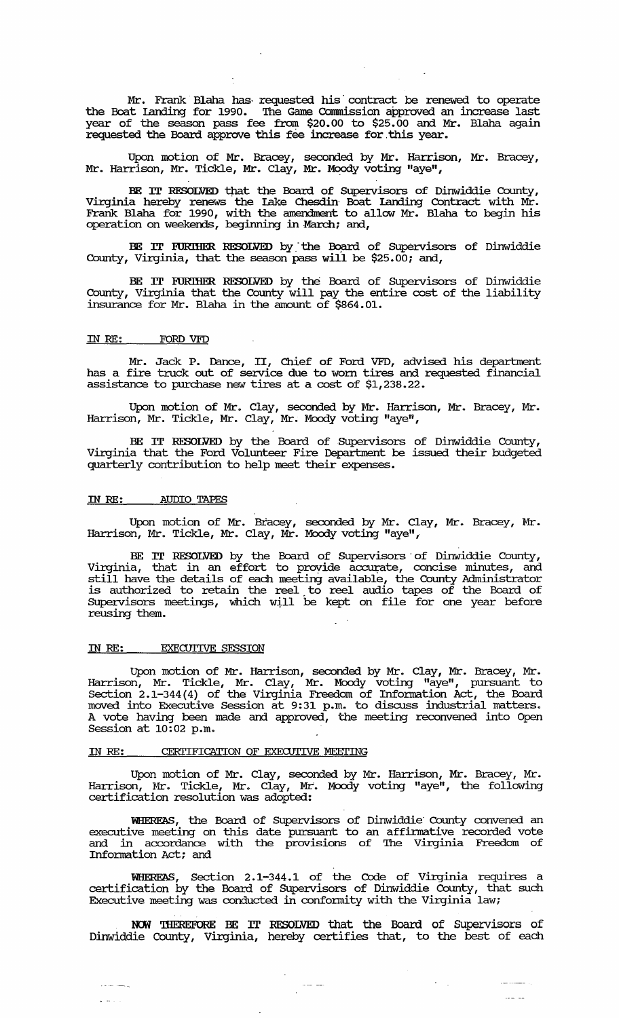Mr. Frank Blaha has requested his contract be renewed to operate the Boat landing for 1990. The Game Connnission approved an increase last year of the season pass fee from \$20.00 to \$25.00 and Mr. Blaha again requested the Board approve this fee increase for. this year.

Upon motion of Mr. Bracey, seconded by Mr. Harrison, Mr. Bracey,<br>Mr. Harrison, Mr. Tickle, Mr. Clay, Mr. Moody voting "aye",

BE IT RESOLVED that the Board of Supervisors of Dinwiddie County, Virginia hereby renews the lake Chesdin" Boat landing Contract with Mr. Frank Blaha for 1990, with the amendment to allow Mr. Blaha to begin his operation on weekends, beginning in March; and,

BE IT FURIHER RESOLVED by the Board of Supervisors of Dinwiddie County, Virginia, that the season pass will be \$25.00; and,

BE IT FURIHER RESOLVED by the Board of SUpervisors of Dinwiddie County, Virginia that the County will pay the entire cost of the liability insurance for Mr. Blaha in the amount of \$864.01.

# IN RE: FORD VFD

Mr. Jack P. Dance, II, Chief of Ford VFD, advised his department has a fire truck out of service due to worn tires and requested financial assistance to purchase new tires at a cost of \$1,238.22.

Upon motion of Mr. Clay, seconded by Mr. Harrison, Mr. Bracey, Mr. Harrison, Mr. Tickle, Mr. Clay, Mr. Moody voting "aye",

BE IT RESOLVED by the Board of SUpervisors of Dinwiddie County, Virginia that the Ford Volunteer Fire Department be issued their budgeted quarterly contribution to help meet their expenses.

#### IN RE: AUDIO *TAPES*

Upon motion of Mr. Bracey, seconded by Mr. Clay, Mr. Bracey, Mr. Harrison, Mr. Tickle, Mr. Clay, Mr. Moody voting "aye",

BE IT RESOLVED by the Board of Supervisors of Dinwiddie County, Virginia, that in an effort to provide accurate, concise minutes, and still have the details of each meeting available, the County Administrator is authorized to retain the reel. to reel audio tapes of the Board of SUpervisors meetings, which will be kept on file for one year before reusing them.

#### IN RE: EXECUTIVE SESSION

 $\frac{1}{2}$  and  $\frac{1}{2}$ 

Upon motion of Mr. Harrison, seconded by Mr. Clay, Mr. Bracey, Mr. Harrison, Mr. Tickle, Mr. Clay, Mr. Moody voting "aye", pursuant to Section 2.1-344(4) of the Virginia Freedom of Infonnation Act, the Board moved into Executive Session at 9:31 p.m. to discuss industrial matters. A vote having been made and approved, the meeting reconvened into Open Session at 10:02 p.m.

# IN RE: CERTIFICATION OF EXECUTIVE MEETING

Upon motion of Mr. Clay, seconded by Mr. Harrison, Mr. Bracey, Mr. Harrison, Mr. Tickle, Mr. Clay, Mr. Moody voting "aye", the following certification resolution was adopted:

WHEREAS, the Board of SUpervisors of Dinwiddie" County convened an executive meeting on this date pursuant to an affinnative recorded vote arcordance with the provisions of The Virginia Freedom of Infonnation Act; and

WHEREAS, Section 2.1-344.1 of the Code of Virginia requires a certification by the Board of SUpervisors of Dinwiddie County, that such Executive meeting was conducted in conformity with the Virginia law;

NOW THEREFORE BE IT RESOLVED that the Board of Supervisors of Dinwiddie County, Virginia, hereby certifies that, to the best of each

 $\frac{1}{\sqrt{2\pi}}\frac{1}{\sqrt{2\pi}}\frac{1}{\sqrt{2\pi}}\frac{1}{\sqrt{2\pi}}\frac{1}{\sqrt{2\pi}}\frac{1}{\sqrt{2\pi}}\frac{1}{\sqrt{2\pi}}\frac{1}{\sqrt{2\pi}}\frac{1}{\sqrt{2\pi}}\frac{1}{\sqrt{2\pi}}\frac{1}{\sqrt{2\pi}}\frac{1}{\sqrt{2\pi}}\frac{1}{\sqrt{2\pi}}\frac{1}{\sqrt{2\pi}}\frac{1}{\sqrt{2\pi}}\frac{1}{\sqrt{2\pi}}\frac{1}{\sqrt{2\pi}}\frac{1}{\sqrt{2\pi}}\frac{1$ 

 $\tilde{t} = \tilde{t}$  .

 $\sim$   $\sim$   $\sim$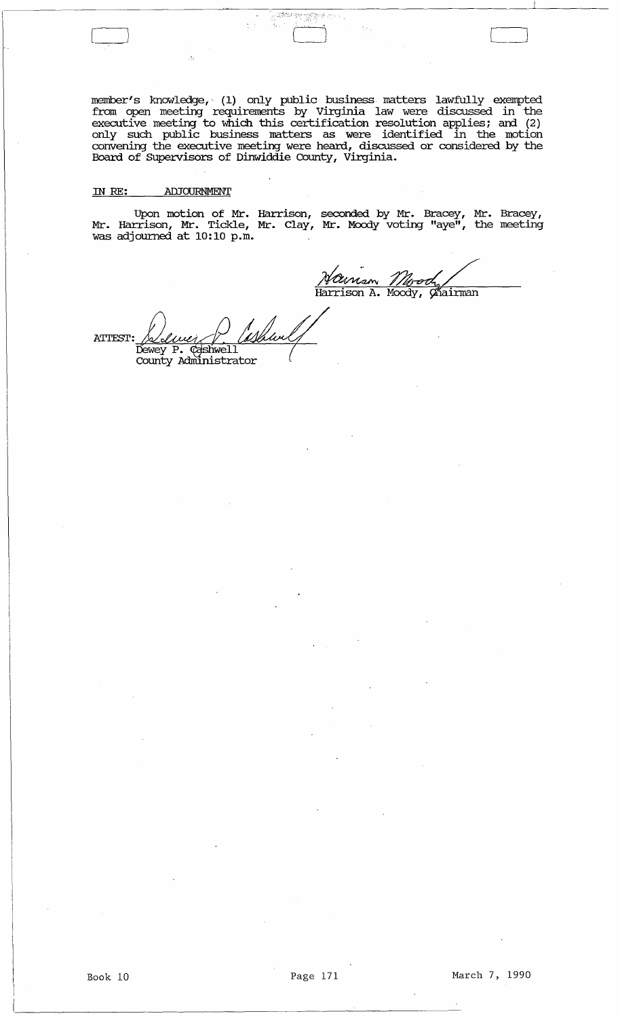member's knowledge,· (1) only public business matters lawfully exempted from open meeting requirements by Virginia law were discussed in the executive meeting to which this certification resolution applies; and (2) only such public business matters as were identified in the motion convening the executive meeting were heard, discussed or considered by the Board of Supervisors of Dinwiddie county, Virginia.

একটালস খুমুক্ত ল

# IN *RE:* AIlJOURNMENT

Upon motion of Mr. Harrison, seconded by Mr. Bracey, Mr. Bracey, Mr. Harrison, Mr. Tickle, Mr. Clay, Mr. Moody voting "aye", the meeting was adjourned at 10:10 p.m.

Harrison A. Moody, Gñairman

 $\begin{bmatrix} \phantom{-} \end{bmatrix}$ 

ATTEST: Deluci P. What Dewey P. Cashwell<br>County Administrator